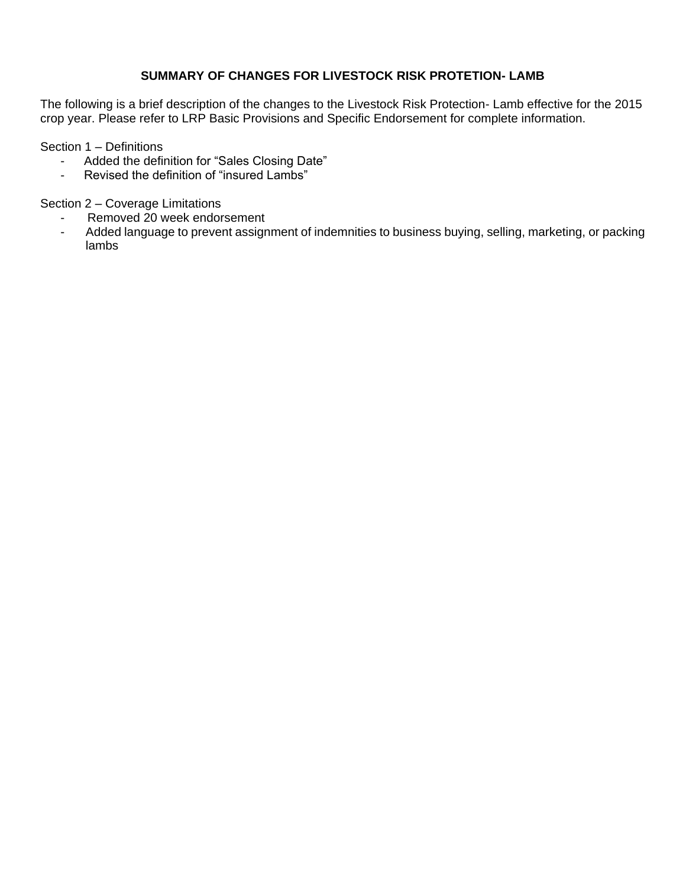# **SUMMARY OF CHANGES FOR LIVESTOCK RISK PROTETION- LAMB**

The following is a brief description of the changes to the Livestock Risk Protection- Lamb effective for the 2015 crop year. Please refer to LRP Basic Provisions and Specific Endorsement for complete information.

Section 1 – Definitions

- Added the definition for "Sales Closing Date"
- Revised the definition of "insured Lambs"

Section 2 – Coverage Limitations

- Removed 20 week endorsement
- Added language to prevent assignment of indemnities to business buying, selling, marketing, or packing lambs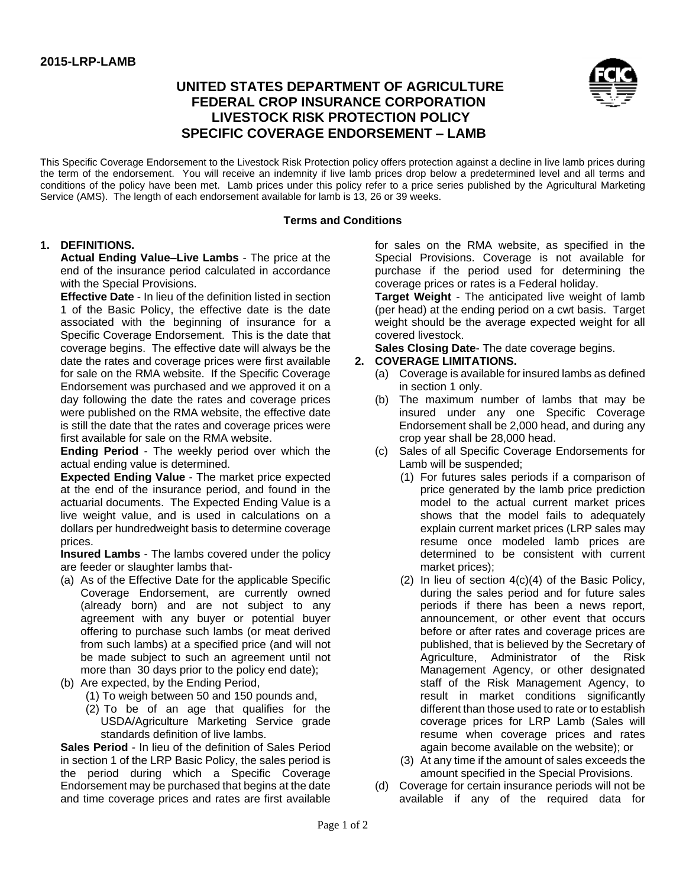# **UNITED STATES DEPARTMENT OF AGRICULTURE FEDERAL CROP INSURANCE CORPORATION LIVESTOCK RISK PROTECTION POLICY SPECIFIC COVERAGE ENDORSEMENT – LAMB**



This Specific Coverage Endorsement to the Livestock Risk Protection policy offers protection against a decline in live lamb prices during the term of the endorsement. You will receive an indemnity if live lamb prices drop below a predetermined level and all terms and conditions of the policy have been met. Lamb prices under this policy refer to a price series published by the Agricultural Marketing Service (AMS). The length of each endorsement available for lamb is 13, 26 or 39 weeks.

#### **Terms and Conditions**

#### **1. DEFINITIONS.**

**Actual Ending Value–Live Lambs** - The price at the end of the insurance period calculated in accordance with the Special Provisions.

**Effective Date** - In lieu of the definition listed in section 1 of the Basic Policy, the effective date is the date associated with the beginning of insurance for a Specific Coverage Endorsement. This is the date that coverage begins. The effective date will always be the date the rates and coverage prices were first available for sale on the RMA website. If the Specific Coverage Endorsement was purchased and we approved it on a day following the date the rates and coverage prices were published on the RMA website, the effective date is still the date that the rates and coverage prices were first available for sale on the RMA website.

**Ending Period** - The weekly period over which the actual ending value is determined.

**Expected Ending Value** - The market price expected at the end of the insurance period, and found in the actuarial documents. The Expected Ending Value is a live weight value, and is used in calculations on a dollars per hundredweight basis to determine coverage prices.

**Insured Lambs** - The lambs covered under the policy are feeder or slaughter lambs that-

- (a) As of the Effective Date for the applicable Specific Coverage Endorsement, are currently owned (already born) and are not subject to any agreement with any buyer or potential buyer offering to purchase such lambs (or meat derived from such lambs) at a specified price (and will not be made subject to such an agreement until not more than 30 days prior to the policy end date);
- (b) Are expected, by the Ending Period,
	- (1) To weigh between 50 and 150 pounds and,
	- (2) To be of an age that qualifies for the USDA/Agriculture Marketing Service grade standards definition of live lambs.

**Sales Period** - In lieu of the definition of Sales Period in section 1 of the LRP Basic Policy, the sales period is the period during which a Specific Coverage Endorsement may be purchased that begins at the date and time coverage prices and rates are first available for sales on the RMA website, as specified in the Special Provisions. Coverage is not available for purchase if the period used for determining the coverage prices or rates is a Federal holiday.

**Target Weight** - The anticipated live weight of lamb (per head) at the ending period on a cwt basis. Target weight should be the average expected weight for all covered livestock.

**Sales Closing Date**- The date coverage begins.

### **2. COVERAGE LIMITATIONS.**

- (a) Coverage is available for insured lambs as defined in section 1 only.
- (b) The maximum number of lambs that may be insured under any one Specific Coverage Endorsement shall be 2,000 head, and during any crop year shall be 28,000 head.
- (c) Sales of all Specific Coverage Endorsements for Lamb will be suspended;
	- (1) For futures sales periods if a comparison of price generated by the lamb price prediction model to the actual current market prices shows that the model fails to adequately explain current market prices (LRP sales may resume once modeled lamb prices are determined to be consistent with current market prices);
	- (2) In lieu of section 4(c)(4) of the Basic Policy, during the sales period and for future sales periods if there has been a news report, announcement, or other event that occurs before or after rates and coverage prices are published, that is believed by the Secretary of Agriculture, Administrator of the Risk Management Agency, or other designated staff of the Risk Management Agency, to result in market conditions significantly different than those used to rate or to establish coverage prices for LRP Lamb (Sales will resume when coverage prices and rates again become available on the website); or
	- (3) At any time if the amount of sales exceeds the amount specified in the Special Provisions.
- (d) Coverage for certain insurance periods will not be available if any of the required data for